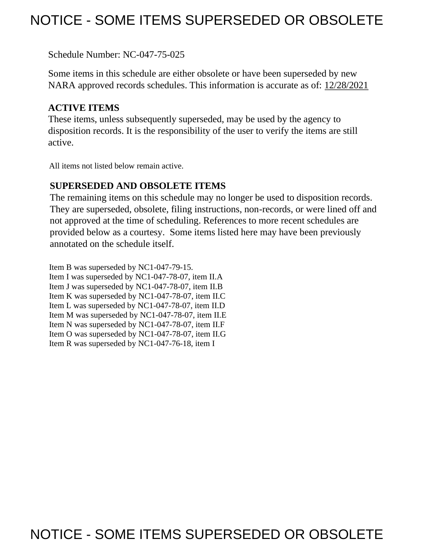# NOTICE - SOME ITEMS SUPERSEDED OR OBSOLETE

Schedule Number: NC-047-75-025

 Some items in this schedule are either obsolete or have been superseded by new NARA approved records schedules. This information is accurate as of: 12/28/2021

# **ACTIVE ITEMS**

 These items, unless subsequently superseded, may be used by the agency to disposition records. It is the responsibility of the user to verify the items are still active.

All items not listed below remain active.

# **SUPERSEDED AND OBSOLETE ITEMS**

 The remaining items on this schedule may no longer be used to disposition records. not approved at the time of scheduling. References to more recent schedules are provided below as a courtesy. Some items listed here may have been previously They are superseded, obsolete, filing instructions, non-records, or were lined off and annotated on the schedule itself.

Item B was superseded by NC1-047-79-15. Item I was superseded by NC1-047-78-07, item II.A Item J was superseded by NC1-047-78-07, item II.B Item K was superseded by NC1-047-78-07, item II.C Item L was superseded by NC1-047-78-07, item II.D Item M was superseded by NC1-047-78-07, item II.E Item N was superseded by NC1-047-78-07, item II.F Item O was superseded by NC1-047-78-07, item II.G Item R was superseded by NC1-047-76-18, item I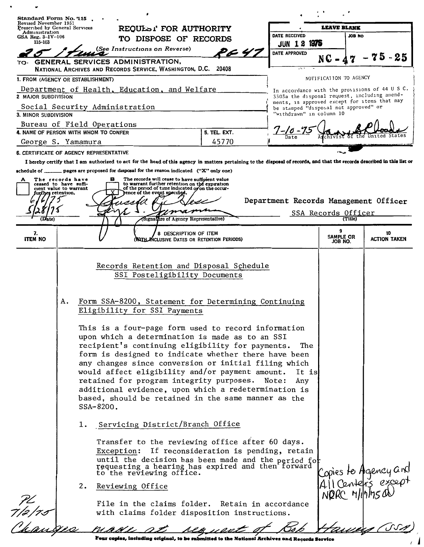| Standard Form No. 115                                   |                                                                     |                                                                     |                                                                                                                                                                                                                                                                                                                                                                                                                                                                                                                                                                                                                                                          |                                                                                                                                                                                                                                                                                                                                                                                                                                                                                                                                                 |                                                                                              |                                       |                                                |
|---------------------------------------------------------|---------------------------------------------------------------------|---------------------------------------------------------------------|----------------------------------------------------------------------------------------------------------------------------------------------------------------------------------------------------------------------------------------------------------------------------------------------------------------------------------------------------------------------------------------------------------------------------------------------------------------------------------------------------------------------------------------------------------------------------------------------------------------------------------------------------------|-------------------------------------------------------------------------------------------------------------------------------------------------------------------------------------------------------------------------------------------------------------------------------------------------------------------------------------------------------------------------------------------------------------------------------------------------------------------------------------------------------------------------------------------------|----------------------------------------------------------------------------------------------|---------------------------------------|------------------------------------------------|
| Revised November 1951<br>Prescribed by General Services | REQULSI FOR AUTHORITY                                               |                                                                     |                                                                                                                                                                                                                                                                                                                                                                                                                                                                                                                                                                                                                                                          | <b>LEAVE BLANK</b>                                                                                                                                                                                                                                                                                                                                                                                                                                                                                                                              |                                                                                              |                                       |                                                |
| Administration<br>$GSA$ Reg. $3 - IV - 106$             |                                                                     |                                                                     | TO DISPOSE OF RECORDS                                                                                                                                                                                                                                                                                                                                                                                                                                                                                                                                                                                                                                    |                                                                                                                                                                                                                                                                                                                                                                                                                                                                                                                                                 | DATE RECEIVED                                                                                | <b>JOB NO</b>                         |                                                |
| 115-103                                                 |                                                                     |                                                                     | (See Instructions on Reverse)                                                                                                                                                                                                                                                                                                                                                                                                                                                                                                                                                                                                                            |                                                                                                                                                                                                                                                                                                                                                                                                                                                                                                                                                 | 1975<br><b>JUN 18</b>                                                                        |                                       |                                                |
| TO.                                                     |                                                                     | GENERAL SERVICES ADMINISTRATION,                                    |                                                                                                                                                                                                                                                                                                                                                                                                                                                                                                                                                                                                                                                          | P & 47                                                                                                                                                                                                                                                                                                                                                                                                                                                                                                                                          | DATE APPROVED                                                                                | NC -                                  | 75<br>- 25                                     |
|                                                         |                                                                     |                                                                     | NATIONAL ARCHIVES AND RECORDS SERVICE, WASHINGTON, D.C. 20408                                                                                                                                                                                                                                                                                                                                                                                                                                                                                                                                                                                            |                                                                                                                                                                                                                                                                                                                                                                                                                                                                                                                                                 | .                                                                                            |                                       |                                                |
| 1. FROM (AGENCY OR ESTABLISHMENT)                       |                                                                     |                                                                     |                                                                                                                                                                                                                                                                                                                                                                                                                                                                                                                                                                                                                                                          |                                                                                                                                                                                                                                                                                                                                                                                                                                                                                                                                                 |                                                                                              | NOTIFICATION TO AGENCY                |                                                |
| 2 MAJOR SUBDIVISION                                     |                                                                     |                                                                     | Department of Health, Education, and Welfare                                                                                                                                                                                                                                                                                                                                                                                                                                                                                                                                                                                                             |                                                                                                                                                                                                                                                                                                                                                                                                                                                                                                                                                 | 3303a the disposal request, including amend-<br>ments, is approved except for items that may |                                       | In accordance with the provisions of 44 U S C. |
|                                                         |                                                                     | Social Security Administration                                      |                                                                                                                                                                                                                                                                                                                                                                                                                                                                                                                                                                                                                                                          |                                                                                                                                                                                                                                                                                                                                                                                                                                                                                                                                                 | be stamped "disposal not approved" or<br>"withdrawn" in column 10                            |                                       |                                                |
| 3. MINOR SUBDIVISION                                    |                                                                     |                                                                     |                                                                                                                                                                                                                                                                                                                                                                                                                                                                                                                                                                                                                                                          |                                                                                                                                                                                                                                                                                                                                                                                                                                                                                                                                                 |                                                                                              |                                       |                                                |
|                                                         |                                                                     | Bureau of Field Operations<br>4. NAME OF PERSON WITH WHOM TO CONFER |                                                                                                                                                                                                                                                                                                                                                                                                                                                                                                                                                                                                                                                          | <b>5. TEL. EXT.</b>                                                                                                                                                                                                                                                                                                                                                                                                                                                                                                                             |                                                                                              |                                       |                                                |
| George S. Yamamura                                      |                                                                     |                                                                     |                                                                                                                                                                                                                                                                                                                                                                                                                                                                                                                                                                                                                                                          | 45770                                                                                                                                                                                                                                                                                                                                                                                                                                                                                                                                           |                                                                                              |                                       |                                                |
|                                                         |                                                                     | 6. CERTIFICATE OF AGENCY REPRESENTATIVE                             |                                                                                                                                                                                                                                                                                                                                                                                                                                                                                                                                                                                                                                                          |                                                                                                                                                                                                                                                                                                                                                                                                                                                                                                                                                 |                                                                                              |                                       |                                                |
|                                                         |                                                                     |                                                                     |                                                                                                                                                                                                                                                                                                                                                                                                                                                                                                                                                                                                                                                          | I hereby certify that I am authorized to act for the head of this agency in matters pertaining to the disposal of records, and that the records described in this list or                                                                                                                                                                                                                                                                                                                                                                       |                                                                                              |                                       |                                                |
| fur£her retention.<br>(Date)                            | The records have<br>ceased to have suffi-<br>cient value to warrant | в<br>ΥI                                                             | schedule of $\frac{1}{\sqrt{1-\frac{1}{\sqrt{1-\frac{1}{\sqrt{1-\frac{1}{\sqrt{1-\frac{1}{\sqrt{1-\frac{1}{\sqrt{1-\frac{1}{\sqrt{1-\frac{1}{\sqrt{1-\frac{1}{\sqrt{1-\frac{1}{\sqrt{1-\frac{1}{\sqrt{1-\frac{1}{\sqrt{1-\frac{1}{\sqrt{1-\frac{1}{\sqrt{1-\frac{1}{\sqrt{1-\frac{1}{\sqrt{1-\frac{1}{\sqrt{1-\frac{1}{\sqrt{1-\frac{1}{\sqrt{1-\frac{1}{\sqrt{1-\frac{1}{\sqrt{1-\frac{1}{\sqrt{1-\frac{1}{\sqrt{1-\$<br>The records will cease to have sufficient value<br>to warrant further retention on the expiration<br>of the period of time indicated or on the occur-<br>Jence of the event specified.<br>(Signature of Agency Representative) |                                                                                                                                                                                                                                                                                                                                                                                                                                                                                                                                                 | Department Records Management Officer                                                        | <u>SSA Records Officer</u><br>(Title) |                                                |
|                                                         |                                                                     |                                                                     |                                                                                                                                                                                                                                                                                                                                                                                                                                                                                                                                                                                                                                                          |                                                                                                                                                                                                                                                                                                                                                                                                                                                                                                                                                 |                                                                                              | ٩                                     |                                                |
| 7.<br><b>ITEM NO</b>                                    |                                                                     |                                                                     | 8 DESCRIPTION OF ITEM<br>With Miclusive Dates or Retention Periods)                                                                                                                                                                                                                                                                                                                                                                                                                                                                                                                                                                                      |                                                                                                                                                                                                                                                                                                                                                                                                                                                                                                                                                 |                                                                                              | SAMPLE OR<br>JOB NO.                  | 10<br><b>ACTION TAKEN</b>                      |
|                                                         | А.                                                                  | SSA-8200.<br>ı.                                                     | Eligibility for SSI Payments<br>Servicing District/Branch Office                                                                                                                                                                                                                                                                                                                                                                                                                                                                                                                                                                                         | Form SSA-8200, Statement for Determining Continuing<br>This is a four-page form used to record information<br>upon which a determination is made as to an SSI<br>recipient's continuing eligibility for payments.<br>form is designed to indicate whether there have been<br>any changes since conversion or initial filing which<br>would affect eligibility and/or payment amount.<br>retained for program integrity purposes.<br>additional evidence, upon which a redetermination is<br>based, should be retained in the same manner as the | The<br>It is<br>Note:<br>Any                                                                 |                                       |                                                |
|                                                         |                                                                     | Exception:<br>2.<br>Reviewing Office                                |                                                                                                                                                                                                                                                                                                                                                                                                                                                                                                                                                                                                                                                          | Transfer to the reviewing office after 60 days.<br>If reconsideration is pending, retain<br>until the decision has been made and the period for<br>requesting a hearing has expired and then forward<br>to the reviewing office.<br>File in the claims folder. Retain in accordance<br>with claims folder disposition instructions.                                                                                                                                                                                                             |                                                                                              |                                       | Copies to Agency and<br>All Centers except     |
|                                                         |                                                                     |                                                                     |                                                                                                                                                                                                                                                                                                                                                                                                                                                                                                                                                                                                                                                          |                                                                                                                                                                                                                                                                                                                                                                                                                                                                                                                                                 |                                                                                              |                                       |                                                |
|                                                         |                                                                     |                                                                     |                                                                                                                                                                                                                                                                                                                                                                                                                                                                                                                                                                                                                                                          | Four copies, including original, to be submitted to the National Archives and Records Service                                                                                                                                                                                                                                                                                                                                                                                                                                                   |                                                                                              |                                       |                                                |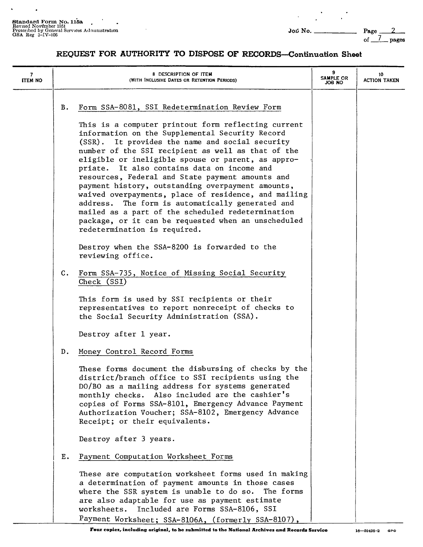$\ddot{\phantom{0}}$ 

 $\bullet$ 

of  $\frac{7}{2}$  pages

| 7<br><b>ITEM NO</b> |                | 8 DESCRIPTION OF ITEM<br>(WITH INCLUSIVE DATES OR RETENTION PERIODS)                                                                                                                                                                                                                                                                                                                                                                                                                                                                                                                                                                                                                  | 9<br>SAMPLE OR<br>JOB NO | 10<br>ACTION TAKEN |
|---------------------|----------------|---------------------------------------------------------------------------------------------------------------------------------------------------------------------------------------------------------------------------------------------------------------------------------------------------------------------------------------------------------------------------------------------------------------------------------------------------------------------------------------------------------------------------------------------------------------------------------------------------------------------------------------------------------------------------------------|--------------------------|--------------------|
|                     | в.             | Form SSA-8081, SSI Redetermination Review Form                                                                                                                                                                                                                                                                                                                                                                                                                                                                                                                                                                                                                                        |                          |                    |
|                     |                | This is a computer printout form reflecting current<br>information on the Supplemental Security Record<br>(SSR). It provides the name and social security<br>number of the SSI recipient as well as that of the<br>eligible or ineligible spouse or parent, as appro-<br>priate. It also contains data on income and<br>resources, Federal and State payment amounts and<br>payment history, outstanding overpayment amounts,<br>waived overpayments, place of residence, and mailing<br>address. The form is automatically generated and<br>mailed as a part of the scheduled redetermination<br>package, or it can be requested when an unscheduled<br>redetermination is required. |                          |                    |
|                     |                | Destroy when the SSA-8200 is forwarded to the<br>reviewing office.                                                                                                                                                                                                                                                                                                                                                                                                                                                                                                                                                                                                                    |                          |                    |
|                     | $\mathbf{C}$ . | Form SSA-735, Notice of Missing Social Security<br>Check (SSI)                                                                                                                                                                                                                                                                                                                                                                                                                                                                                                                                                                                                                        |                          |                    |
|                     |                | This form is used by SSI recipients or their<br>representatives to report nonreceipt of checks to<br>the Social Security Administration (SSA).                                                                                                                                                                                                                                                                                                                                                                                                                                                                                                                                        |                          |                    |
|                     |                | Destroy after 1 year.                                                                                                                                                                                                                                                                                                                                                                                                                                                                                                                                                                                                                                                                 |                          |                    |
|                     | D.             | Money Control Record Forms                                                                                                                                                                                                                                                                                                                                                                                                                                                                                                                                                                                                                                                            |                          |                    |
|                     |                | These forms document the disbursing of checks by the<br>district/branch office to SSI recipients using the<br>DO/BO as a mailing address for systems generated<br>monthly checks. Also included are the cashier's<br>copies of Forms SSA-8101, Emergency Advance Payment<br>Authorization Voucher; SSA-8102, Emergency Advance<br>Receipt; or their equivalents.                                                                                                                                                                                                                                                                                                                      |                          |                    |
|                     |                | Destroy after 3 years.                                                                                                                                                                                                                                                                                                                                                                                                                                                                                                                                                                                                                                                                |                          |                    |
|                     | Ε.             | Payment Computation Worksheet Forms                                                                                                                                                                                                                                                                                                                                                                                                                                                                                                                                                                                                                                                   |                          |                    |
|                     |                | These are computation worksheet forms used in making<br>a determination of payment amounts in those cases<br>where the SSR system is unable to do so.<br>The forms<br>are also adaptable for use as payment estimate<br>Included are Forms SSA-8106, SSI<br>worksheets.<br>Payment Worksheet; SSA-8106A, (formerly SSA-8107),                                                                                                                                                                                                                                                                                                                                                         |                          |                    |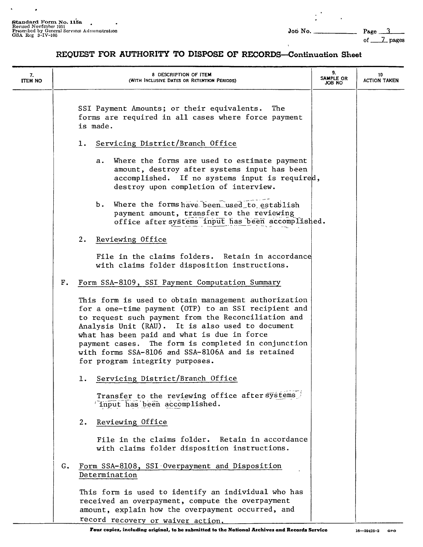$\ddot{\phantom{a}}$ 

 $\ddot{\phantom{1}}$ 

 $\ddot{\phantom{a}}$ 

of \_\_J\_\_ pages

| 7.<br><b>ITEM NO</b> |                | 8 DESCRIPTION OF ITEM<br>(WITH INCLUSIVE DATES OR RETENTION PERIODS)                                                                                                                                                                                                                                                                                                                                                  | 9.<br>SAMPLE OR<br>OH BOL | 10<br><b>ACTION TAKEN</b> |
|----------------------|----------------|-----------------------------------------------------------------------------------------------------------------------------------------------------------------------------------------------------------------------------------------------------------------------------------------------------------------------------------------------------------------------------------------------------------------------|---------------------------|---------------------------|
|                      |                | SSI Payment Amounts; or their equivalents.<br>The<br>forms are required in all cases where force payment<br>is made.                                                                                                                                                                                                                                                                                                  |                           |                           |
|                      |                | Servicing District/Branch Office<br>ı.                                                                                                                                                                                                                                                                                                                                                                                |                           |                           |
|                      |                | Where the forms are used to estimate payment<br>а.<br>amount, destroy after systems input has been<br>accomplished. If no systems input is required,<br>destroy upon completion of interview.                                                                                                                                                                                                                         |                           |                           |
|                      |                | b. Where the forms have been used to establish<br>payment amount, transfer to the reviewing<br>office after systems input has been accomplished.                                                                                                                                                                                                                                                                      |                           |                           |
|                      |                | 2.<br>Reviewing Office                                                                                                                                                                                                                                                                                                                                                                                                |                           |                           |
|                      |                | File in the claims folders. Retain in accordance<br>with claims folder disposition instructions.                                                                                                                                                                                                                                                                                                                      |                           |                           |
|                      | F <sub>z</sub> | Form SSA-8109, SSI Payment Computation Summary                                                                                                                                                                                                                                                                                                                                                                        |                           |                           |
|                      |                | This form is used to obtain management authorization<br>for a one-time payment (OTP) to an SSI recipient and<br>to request such payment from the Reconciliation and<br>Analysis Unit (RAU). It is also used to document<br>what has been paid and what is due in force<br>payment cases. The form is completed in conjunction<br>with forms SSA-8106 and SSA-8106A and is retained<br>for program integrity purposes. |                           |                           |
|                      |                | 1. Servicing District/Branch Office                                                                                                                                                                                                                                                                                                                                                                                   |                           |                           |
|                      |                | Transfer to the reviewing office after systems<br>input has been accomplished.                                                                                                                                                                                                                                                                                                                                        |                           |                           |
|                      |                | Reviewing Office<br>2.                                                                                                                                                                                                                                                                                                                                                                                                |                           |                           |
|                      |                | File in the claims folder. Retain in accordance<br>with claims folder disposition instructions.                                                                                                                                                                                                                                                                                                                       |                           |                           |
|                      | G.             | Form SSA-8108, SSI Overpayment and Disposition<br>Determination                                                                                                                                                                                                                                                                                                                                                       |                           |                           |
|                      |                | This form is used to identify an individual who has<br>received an overpayment, compute the overpayment<br>amount, explain how the overpayment occurred, and<br>record recovery or waiver action.                                                                                                                                                                                                                     |                           |                           |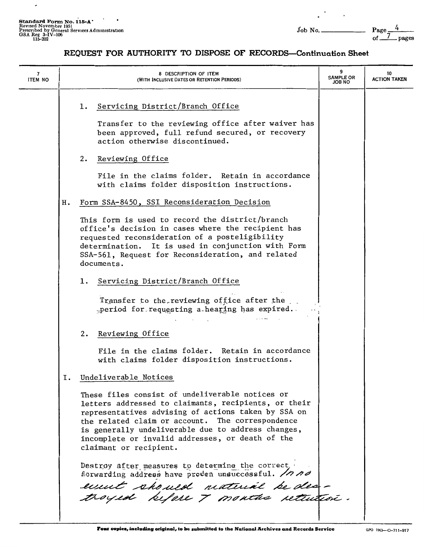$\overline{\phantom{a}}$ 

 $\mathbb{R}^n \rightarrow \mathbb{R}$ 

| 7<br><b>ITEM NO</b> |    | 8 DESCRIPTION OF ITEM<br>(WITH INCLUSIVE DATES OR RETENTION PERIODS)                                                                                                                                                                                                                                                                                   | 9<br><b>SAMPLE OR</b><br>ON 8OL | 10<br><b>ACTION TAKEN</b> |
|---------------------|----|--------------------------------------------------------------------------------------------------------------------------------------------------------------------------------------------------------------------------------------------------------------------------------------------------------------------------------------------------------|---------------------------------|---------------------------|
|                     |    | Servicing District/Branch Office<br>1.<br>Transfer to the reviewing office after waiver has<br>been approved, full refund secured, or recovery<br>action otherwise discontinued.                                                                                                                                                                       |                                 |                           |
|                     |    | 2.<br>Reviewing Office<br>File in the claims folder. Retain in accordance<br>with claims folder disposition instructions.                                                                                                                                                                                                                              |                                 |                           |
|                     | н. | Form SSA-8450, SSI Reconsideration Decision                                                                                                                                                                                                                                                                                                            |                                 |                           |
|                     |    | This form is used to record the district/branch<br>office's decision in cases where the recipient has<br>requested reconsideration of a posteligibility<br>determination. It is used in conjunction with Form<br>SSA-561, Request for Reconsideration, and related<br>documents.                                                                       |                                 |                           |
|                     |    | 1. Servicing District/Branch Office                                                                                                                                                                                                                                                                                                                    |                                 |                           |
|                     |    | Transfer to the reviewing office after the<br>period for requesting a hearing has expired.                                                                                                                                                                                                                                                             |                                 |                           |
|                     |    | 2. Reviewing Office                                                                                                                                                                                                                                                                                                                                    |                                 |                           |
|                     |    | File in the claims folder. Retain in accordance<br>with claims folder disposition instructions.                                                                                                                                                                                                                                                        |                                 |                           |
|                     | Ι. | Undeliverable Notices                                                                                                                                                                                                                                                                                                                                  |                                 |                           |
|                     |    | These files consist of undeliverable notices or<br>letters addressed to claimants, recipients, or their<br>representatives advising of actions taken by SSA on<br>the related claim or account. The correspondence<br>is generally undeliverable due to address changes,<br>incomplete or invalid addresses, or death of the<br>claimant or recipient. |                                 |                           |
|                     |    | Destroy after measures to determine the correct,<br>florwarding address have procen unsuccessful. /h no<br>emmet should material be des-<br>troyed before 7 months rettured.                                                                                                                                                                           |                                 |                           |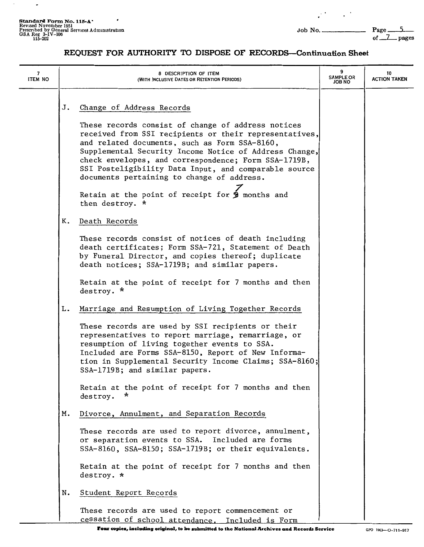$\sim$ 

 $\overline{\phantom{a}}$ 

 $\mathcal{L}^{(1)}$  and  $\mathcal{L}^{(2)}$ 

| 7<br><b>ITEM NO</b> |    | 8 DESCRIPTION OF ITEM<br>(WITH INCLUSIVE DATES OR RETENTION PERIODS)                                                                                                                                                                                                                                                                                                                                                     | <b>SAMPLE OR</b><br><b>JOB NO</b> | 10<br><b>ACTION TAKEN</b> |
|---------------------|----|--------------------------------------------------------------------------------------------------------------------------------------------------------------------------------------------------------------------------------------------------------------------------------------------------------------------------------------------------------------------------------------------------------------------------|-----------------------------------|---------------------------|
|                     | J. | Change of Address Records                                                                                                                                                                                                                                                                                                                                                                                                |                                   |                           |
|                     |    | These records consist of change of address notices<br>received from SSI recipients or their representatives,<br>and related documents, such as Form SSA-8160,<br>Supplemental Security Income Notice of Address Change,<br>check envelopes, and correspondence; Form SSA-1719B,<br>SSI Posteligibility Data Input, and comparable source<br>documents pertaining to change of address.                                   |                                   |                           |
|                     |    | Retain at the point of receipt for $\frac{1}{2}$ months and<br>then destroy. *                                                                                                                                                                                                                                                                                                                                           |                                   |                           |
|                     | к. | Death Records                                                                                                                                                                                                                                                                                                                                                                                                            |                                   |                           |
|                     |    | These records consist of notices of death including<br>death certificates; Form SSA-721, Statement of Death<br>by Funeral Director, and copies thereof; duplicate<br>death notices; SSA-1719B; and similar papers.                                                                                                                                                                                                       |                                   |                           |
|                     |    | Retain at the point of receipt for 7 months and then<br>destroy. *                                                                                                                                                                                                                                                                                                                                                       |                                   |                           |
|                     | L. | Marriage and Resumption of Living Together Records<br>These records are used by SSI recipients or their<br>representatives to report marriage, remarriage, or<br>resumption of living together events to SSA.<br>Included are Forms SSA-8150, Report of New Informa-<br>tion in Supplemental Security Income Claims; SSA-8160;<br>SSA-1719B; and similar papers.<br>Retain at the point of receipt for 7 months and then |                                   |                           |
|                     |    | ×<br>destroy.                                                                                                                                                                                                                                                                                                                                                                                                            |                                   |                           |
|                     | м. | Divorce, Annulment, and Separation Records<br>These records are used to report divorce, annulment,<br>or separation events to SSA. Included are forms<br>SSA-8160, SSA-8150; SSA-1719B; or their equivalents.<br>Retain at the point of receipt for 7 months and then                                                                                                                                                    |                                   |                           |
|                     |    | destroy. *                                                                                                                                                                                                                                                                                                                                                                                                               |                                   |                           |
|                     | N. | Student Report Records                                                                                                                                                                                                                                                                                                                                                                                                   |                                   |                           |
|                     |    | These records are used to report commencement or<br>cessation of school attendance. Included is Form                                                                                                                                                                                                                                                                                                                     |                                   |                           |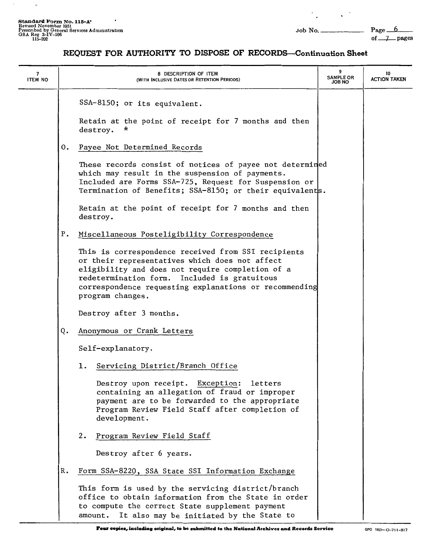$\cdot$ 

 $\overline{\phantom{a}}$ 

 $\mathcal{O}_\mathbf{z}$  and  $\mathcal{O}_\mathbf{z}$ 

| 7<br><b>ITEM NO</b> |    | 8 DESCRIPTION OF ITEM<br>(WITH INCLUSIVE DATES OR RETENTION PERIODS)                                                                                                                                                                                                                    | 9<br><b>SAMPLE OR</b><br><b>ON 8OL</b> | 10<br><b>ACTION TAKEN</b> |
|---------------------|----|-----------------------------------------------------------------------------------------------------------------------------------------------------------------------------------------------------------------------------------------------------------------------------------------|----------------------------------------|---------------------------|
|                     |    | SSA-8150; or its equivalent.                                                                                                                                                                                                                                                            |                                        |                           |
|                     |    | Retain at the point of receipt for 7 months and then<br>destroy.                                                                                                                                                                                                                        |                                        |                           |
|                     | 0. | Payee Not Determined Records                                                                                                                                                                                                                                                            |                                        |                           |
|                     |    | These records consist of notices of payee not determined<br>which may result in the suspension of payments.<br>Included are Forms SSA-725, Request for Suspension or<br>Termination of Benefits; SSA-8150; or their equivalents.                                                        |                                        |                           |
|                     |    | Retain at the point of receipt for 7 months and then<br>destroy.                                                                                                                                                                                                                        |                                        |                           |
|                     | Ρ. | Miscellaneous Posteligibility Correspondence                                                                                                                                                                                                                                            |                                        |                           |
|                     |    | This is correspondence received from SSI recipients<br>or their representatives which does not affect<br>eligibility and does not require completion of a<br>redetermination form. Included is gratuitous<br>correspondence requesting explanations or recommending<br>program changes. |                                        |                           |
|                     |    | Destroy after 3 months.                                                                                                                                                                                                                                                                 |                                        |                           |
|                     | Q. | Anonymous or Crank Letters                                                                                                                                                                                                                                                              |                                        |                           |
|                     |    | Self-explanatory.                                                                                                                                                                                                                                                                       |                                        |                           |
|                     |    | Servicing District/Branch Office<br>1.                                                                                                                                                                                                                                                  |                                        |                           |
|                     |    | Destroy upon receipt. Exception:<br>letters<br>containing an allegation of fraud or improper<br>payment are to be forwarded to the appropriate<br>Program Review Field Staff after completion of<br>development.                                                                        |                                        |                           |
|                     |    | Program Review Field Staff<br>2.                                                                                                                                                                                                                                                        |                                        |                           |
|                     |    | Destroy after 6 years.                                                                                                                                                                                                                                                                  |                                        |                           |
|                     | R. | Form SSA-8220, SSA State SSI Information Exchange                                                                                                                                                                                                                                       |                                        |                           |
|                     |    | This form is used by the servicing district/branch<br>office to obtain information from the State in order<br>to compute the correct State supplement payment<br>It also may be initiated by the State to<br>amount.                                                                    |                                        |                           |